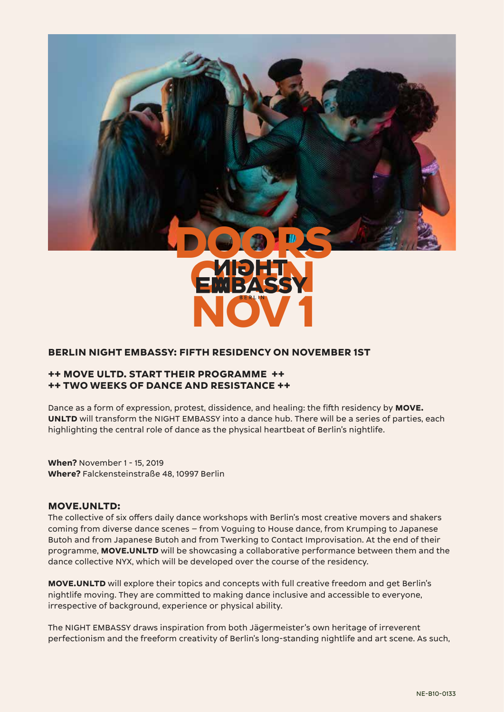



## **BERLIN NIGHT EMBASSY: FIFTH RESIDENCY ON NOVEMBER 1ST**

## **++ MOVE ULTD. START THEIR PROGRAMME ++ ++ TWO WEEKS OF DANCE AND RESISTANCE ++**

Dance as a form of expression, protest, dissidence, and healing: the fifth residency by **MOVE. UNLTD** will transform the NIGHT EMBASSY into a dance hub. There will be a series of parties, each highlighting the central role of dance as the physical heartbeat of Berlin's nightlife.

**When?** November 1 - 15, 2019 **Where?** Falckensteinstraße 48, 10997 Berlin

#### **MOVE.UNLTD:**

The collective of six offers daily dance workshops with Berlin's most creative movers and shakers coming from diverse dance scenes – from Voguing to House dance, from Krumping to Japanese Butoh and from Japanese Butoh and from Twerking to Contact Improvisation. At the end of their programme, **MOVE.UNLTD** will be showcasing a collaborative performance between them and the dance collective NYX, which will be developed over the course of the residency.

**MOVE.UNLTD** will explore their topics and concepts with full creative freedom and get Berlin's nightlife moving. They are committed to making dance inclusive and accessible to everyone, irrespective of background, experience or physical ability.

The NIGHT EMBASSY draws inspiration from both Jägermeister's own heritage of irreverent perfectionism and the freeform creativity of Berlin's long-standing nightlife and art scene. As such,